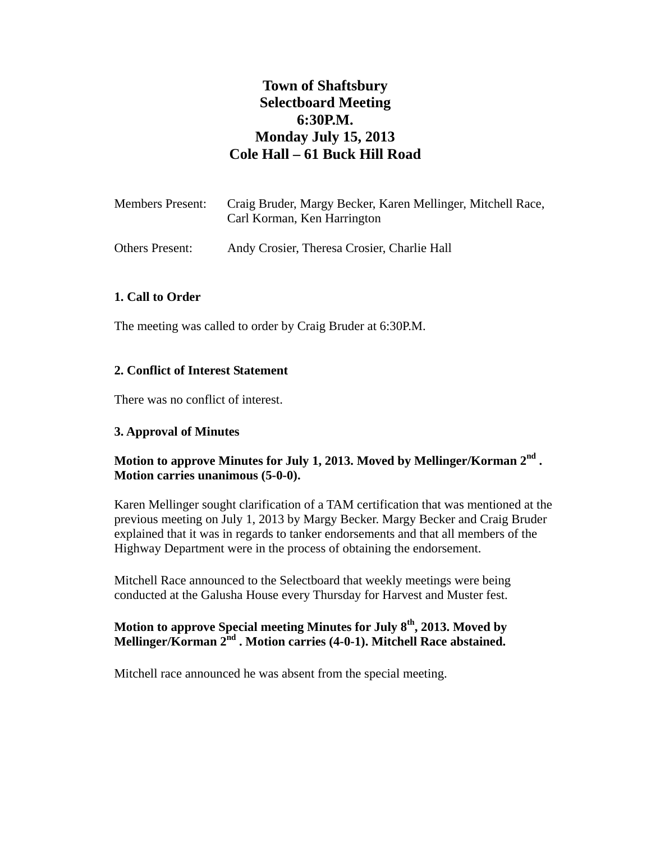# **Town of Shaftsbury Selectboard Meeting 6:30P.M. Monday July 15, 2013 Cole Hall – 61 Buck Hill Road**

| Members Present: | Craig Bruder, Margy Becker, Karen Mellinger, Mitchell Race,<br>Carl Korman, Ken Harrington |
|------------------|--------------------------------------------------------------------------------------------|
| Others Present:  | Andy Crosier, Theresa Crosier, Charlie Hall                                                |

### **1. Call to Order**

The meeting was called to order by Craig Bruder at 6:30P.M.

### **2. Conflict of Interest Statement**

There was no conflict of interest.

### **3. Approval of Minutes**

### **Motion to approve Minutes for July 1, 2013. Moved by Mellinger/Korman 2nd . Motion carries unanimous (5-0-0).**

Karen Mellinger sought clarification of a TAM certification that was mentioned at the previous meeting on July 1, 2013 by Margy Becker. Margy Becker and Craig Bruder explained that it was in regards to tanker endorsements and that all members of the Highway Department were in the process of obtaining the endorsement.

Mitchell Race announced to the Selectboard that weekly meetings were being conducted at the Galusha House every Thursday for Harvest and Muster fest.

### **Motion to approve Special meeting Minutes for July 8th, 2013. Moved by**  Mellinger/Korman 2<sup>nd</sup> . Motion carries (4-0-1). Mitchell Race abstained.

Mitchell race announced he was absent from the special meeting.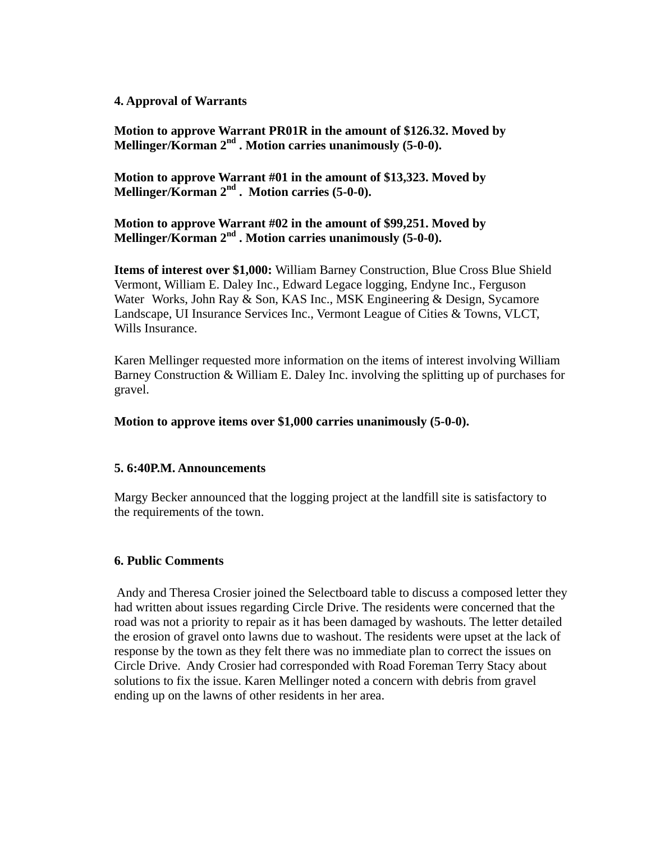### **4. Approval of Warrants**

 **Motion to approve Warrant PR01R in the amount of \$126.32. Moved by Mellinger/Korman 2nd . Motion carries unanimously (5-0-0).**

 **Motion to approve Warrant #01 in the amount of \$13,323. Moved by**  Mellinger/Korman 2<sup>nd</sup> . Motion carries (5-0-0).

 **Motion to approve Warrant #02 in the amount of \$99,251. Moved by Mellinger/Korman 2nd . Motion carries unanimously (5-0-0).**

 **Items of interest over \$1,000:** William Barney Construction, Blue Cross Blue Shield Vermont, William E. Daley Inc., Edward Legace logging, Endyne Inc., Ferguson Water Works, John Ray & Son, KAS Inc., MSK Engineering & Design, Sycamore Landscape, UI Insurance Services Inc., Vermont League of Cities & Towns, VLCT, Wills Insurance.

Karen Mellinger requested more information on the items of interest involving William Barney Construction & William E. Daley Inc. involving the splitting up of purchases for gravel.

 **Motion to approve items over \$1,000 carries unanimously (5-0-0).**

#### **5. 6:40P.M. Announcements**

Margy Becker announced that the logging project at the landfill site is satisfactory to the requirements of the town.

### **6. Public Comments**

 Andy and Theresa Crosier joined the Selectboard table to discuss a composed letter they had written about issues regarding Circle Drive. The residents were concerned that the road was not a priority to repair as it has been damaged by washouts. The letter detailed the erosion of gravel onto lawns due to washout. The residents were upset at the lack of response by the town as they felt there was no immediate plan to correct the issues on Circle Drive. Andy Crosier had corresponded with Road Foreman Terry Stacy about solutions to fix the issue. Karen Mellinger noted a concern with debris from gravel ending up on the lawns of other residents in her area.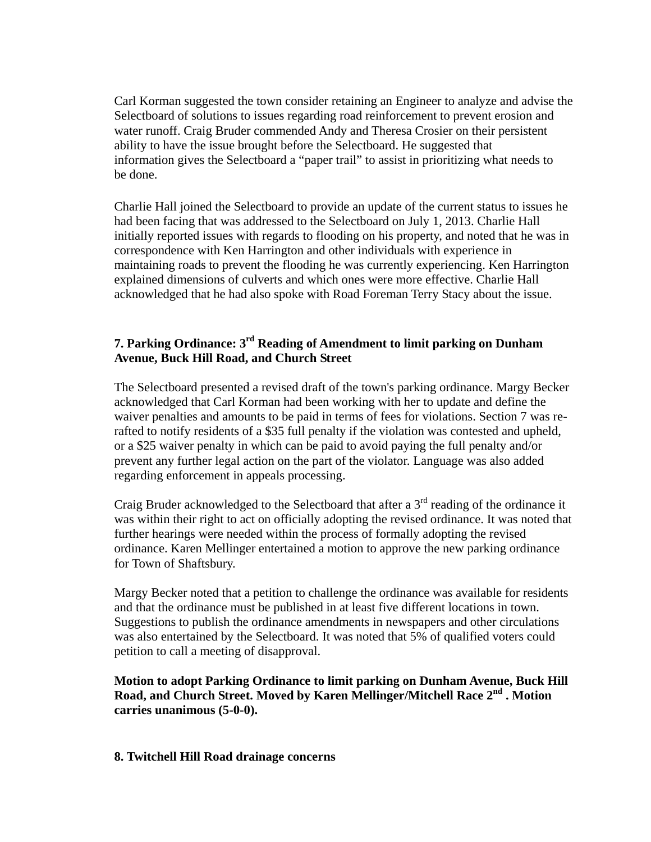Carl Korman suggested the town consider retaining an Engineer to analyze and advise the Selectboard of solutions to issues regarding road reinforcement to prevent erosion and water runoff. Craig Bruder commended Andy and Theresa Crosier on their persistent ability to have the issue brought before the Selectboard. He suggested that information gives the Selectboard a "paper trail" to assist in prioritizing what needs to be done.

 Charlie Hall joined the Selectboard to provide an update of the current status to issues he had been facing that was addressed to the Selectboard on July 1, 2013. Charlie Hall initially reported issues with regards to flooding on his property, and noted that he was in correspondence with Ken Harrington and other individuals with experience in maintaining roads to prevent the flooding he was currently experiencing. Ken Harrington explained dimensions of culverts and which ones were more effective. Charlie Hall acknowledged that he had also spoke with Road Foreman Terry Stacy about the issue.

## **7. Parking Ordinance: 3rd Reading of Amendment to limit parking on Dunham Avenue, Buck Hill Road, and Church Street**

 The Selectboard presented a revised draft of the town's parking ordinance. Margy Becker acknowledged that Carl Korman had been working with her to update and define the waiver penalties and amounts to be paid in terms of fees for violations. Section 7 was re rafted to notify residents of a \$35 full penalty if the violation was contested and upheld, or a \$25 waiver penalty in which can be paid to avoid paying the full penalty and/or prevent any further legal action on the part of the violator. Language was also added regarding enforcement in appeals processing.

Craig Bruder acknowledged to the Selectboard that after a  $3<sup>rd</sup>$  reading of the ordinance it was within their right to act on officially adopting the revised ordinance. It was noted that further hearings were needed within the process of formally adopting the revised ordinance. Karen Mellinger entertained a motion to approve the new parking ordinance for Town of Shaftsbury.

 Margy Becker noted that a petition to challenge the ordinance was available for residents and that the ordinance must be published in at least five different locations in town. Suggestions to publish the ordinance amendments in newspapers and other circulations was also entertained by the Selectboard. It was noted that 5% of qualified voters could petition to call a meeting of disapproval.

 **Motion to adopt Parking Ordinance to limit parking on Dunham Avenue, Buck Hill Road, and Church Street. Moved by Karen Mellinger/Mitchell Race 2nd . Motion carries unanimous (5-0-0).**

### **8. Twitchell Hill Road drainage concerns**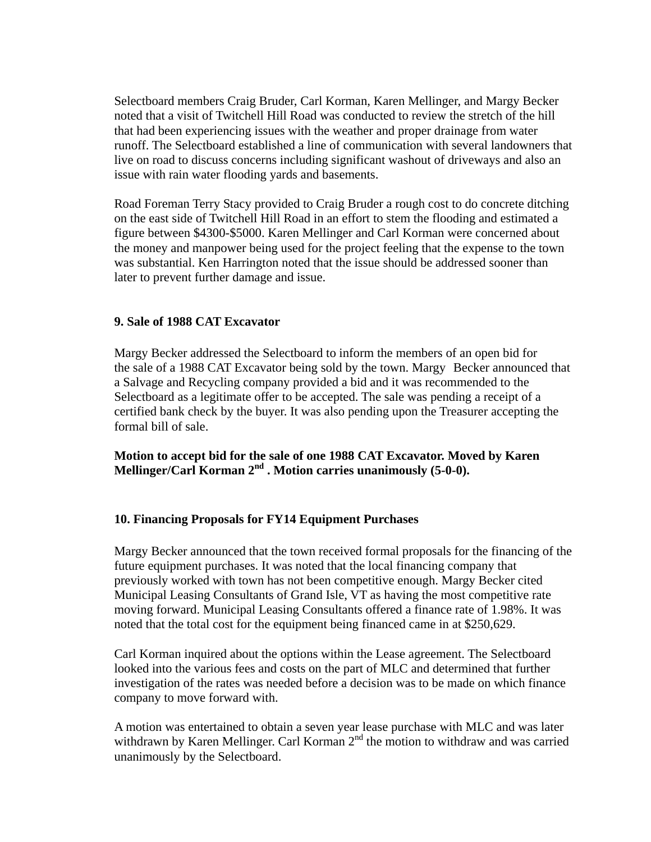Selectboard members Craig Bruder, Carl Korman, Karen Mellinger, and Margy Becker noted that a visit of Twitchell Hill Road was conducted to review the stretch of the hill that had been experiencing issues with the weather and proper drainage from water runoff. The Selectboard established a line of communication with several landowners that live on road to discuss concerns including significant washout of driveways and also an issue with rain water flooding yards and basements.

 Road Foreman Terry Stacy provided to Craig Bruder a rough cost to do concrete ditching on the east side of Twitchell Hill Road in an effort to stem the flooding and estimated a figure between \$4300-\$5000. Karen Mellinger and Carl Korman were concerned about the money and manpower being used for the project feeling that the expense to the town was substantial. Ken Harrington noted that the issue should be addressed sooner than later to prevent further damage and issue.

### **9. Sale of 1988 CAT Excavator**

Margy Becker addressed the Selectboard to inform the members of an open bid for the sale of a 1988 CAT Excavator being sold by the town. Margy Becker announced that a Salvage and Recycling company provided a bid and it was recommended to the Selectboard as a legitimate offer to be accepted. The sale was pending a receipt of a certified bank check by the buyer. It was also pending upon the Treasurer accepting the formal bill of sale.

**Motion to accept bid for the sale of one 1988 CAT Excavator. Moved by Karen Mellinger/Carl Korman 2nd . Motion carries unanimously (5-0-0).**

### **10. Financing Proposals for FY14 Equipment Purchases**

 Margy Becker announced that the town received formal proposals for the financing of the future equipment purchases. It was noted that the local financing company that previously worked with town has not been competitive enough. Margy Becker cited Municipal Leasing Consultants of Grand Isle, VT as having the most competitive rate moving forward. Municipal Leasing Consultants offered a finance rate of 1.98%. It was noted that the total cost for the equipment being financed came in at \$250,629.

 Carl Korman inquired about the options within the Lease agreement. The Selectboard looked into the various fees and costs on the part of MLC and determined that further investigation of the rates was needed before a decision was to be made on which finance company to move forward with.

 A motion was entertained to obtain a seven year lease purchase with MLC and was later withdrawn by Karen Mellinger. Carl Korman 2<sup>nd</sup> the motion to withdraw and was carried unanimously by the Selectboard.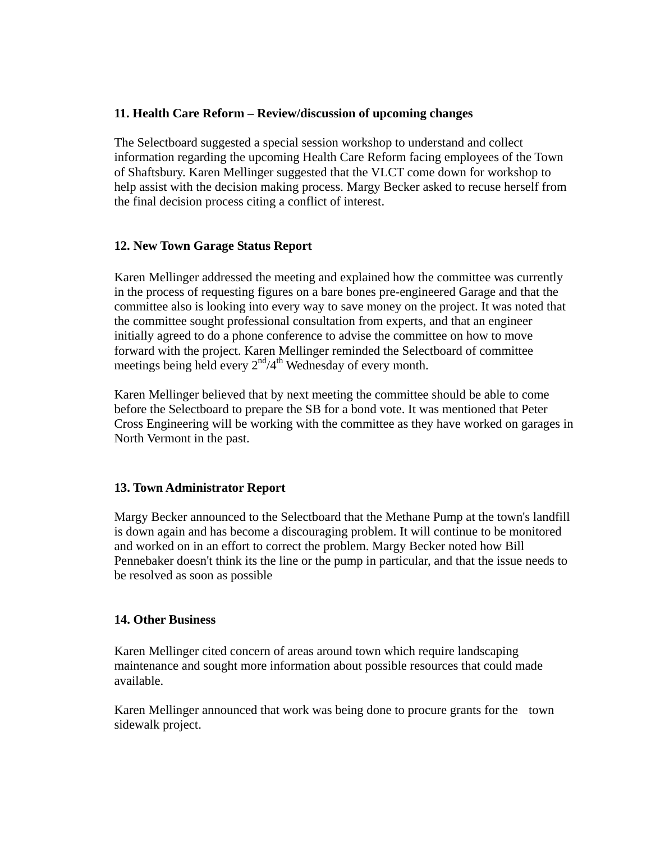### **11. Health Care Reform – Review/discussion of upcoming changes**

 The Selectboard suggested a special session workshop to understand and collect information regarding the upcoming Health Care Reform facing employees of the Town of Shaftsbury. Karen Mellinger suggested that the VLCT come down for workshop to help assist with the decision making process. Margy Becker asked to recuse herself from the final decision process citing a conflict of interest.

### **12. New Town Garage Status Report**

 Karen Mellinger addressed the meeting and explained how the committee was currently in the process of requesting figures on a bare bones pre-engineered Garage and that the committee also is looking into every way to save money on the project. It was noted that the committee sought professional consultation from experts, and that an engineer initially agreed to do a phone conference to advise the committee on how to move forward with the project. Karen Mellinger reminded the Selectboard of committee meetings being held every  $2<sup>nd</sup>/4<sup>th</sup>$  Wednesday of every month.

 Karen Mellinger believed that by next meeting the committee should be able to come before the Selectboard to prepare the SB for a bond vote. It was mentioned that Peter Cross Engineering will be working with the committee as they have worked on garages in North Vermont in the past.

### **13. Town Administrator Report**

 Margy Becker announced to the Selectboard that the Methane Pump at the town's landfill is down again and has become a discouraging problem. It will continue to be monitored and worked on in an effort to correct the problem. Margy Becker noted how Bill Pennebaker doesn't think its the line or the pump in particular, and that the issue needs to be resolved as soon as possible

### **14. Other Business**

Karen Mellinger cited concern of areas around town which require landscaping maintenance and sought more information about possible resources that could made available.

 Karen Mellinger announced that work was being done to procure grants for the town sidewalk project.